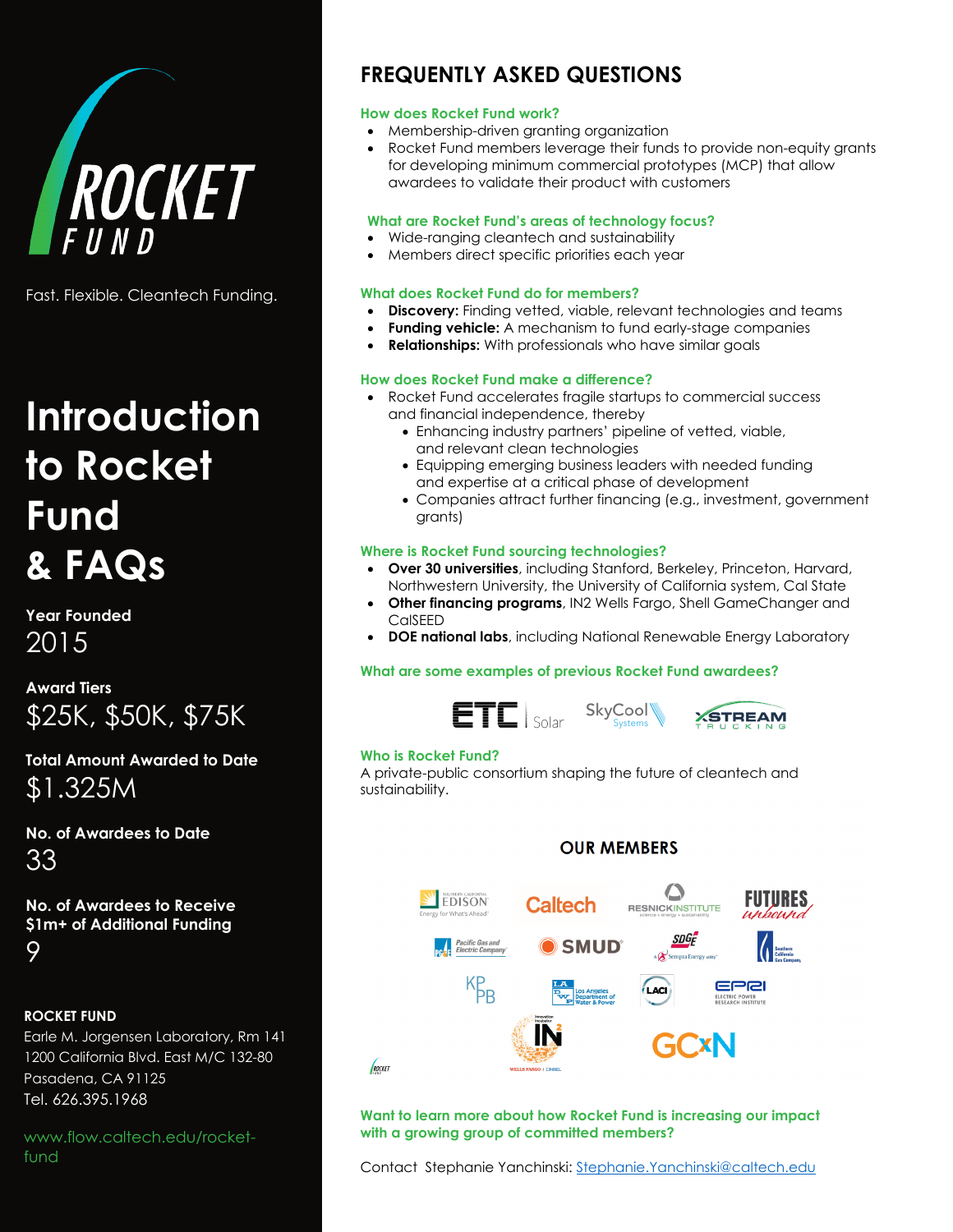

Fast. Flexible. Cleantech Funding.

# **Introduction to Rocket Fund & FAQs**

**Year Founded** 2015

**Award Tiers** \$25K, \$50K, \$75K

**Total Amount Awarded to Date** \$1.325M

**No. of Awardees to Date** 33

**No. of Awardees to Receive \$1m+ of Additional Funding** 9

#### **ROCKET FUND**

Earle M. Jorgensen Laboratory, Rm 141 1200 California Blvd. East M/C 132-80 Pasadena, CA 91125 Tel. 626.395.1968

www.flow.caltech.edu/rocketfund

## **FREQUENTLY ASKED QUESTIONS**

#### **How does Rocket Fund work?**

- Membership-driven granting organization
- Rocket Fund members leverage their funds to provide non-equity grants for developing minimum commercial prototypes (MCP) that allow awardees to validate their product with customers

#### **What are Rocket Fund's areas of technology focus?**

- Wide-ranging cleantech and sustainability
- Members direct specific priorities each year

#### **What does Rocket Fund do for members?**

- **Discovery:** Finding vetted, viable, relevant technologies and teams
- **Funding vehicle:** A mechanism to fund early-stage companies
- **Relationships:** With professionals who have similar goals

#### **How does Rocket Fund make a difference?**

- Rocket Fund accelerates fragile startups to commercial success and financial independence, thereby
	- Enhancing industry partners' pipeline of vetted, viable, and relevant clean technologies
	- Equipping emerging business leaders with needed funding and expertise at a critical phase of development
	- Companies attract further financing (e.g., investment, government grants)

#### **Where is Rocket Fund sourcing technologies?**

- **Over 30 universities**, including Stanford, Berkeley, Princeton, Harvard, Northwestern University, the University of California system, Cal State
- **Other financing programs**, IN2 Wells Fargo, Shell GameChanger and CalSEED
- **DOE national labs**, including National Renewable Energy Laboratory

#### **What are some examples of previous Rocket Fund awardees?**



#### **Who is Rocket Fund?**

A private-public consortium shaping the future of cleantech and sustainability.



**Want to learn more about how Rocket Fund is increasing our impact with a growing group of committed members?** 

Contact Stephanie Yanchinski: [Stephanie.Yanchinski@caltech.edu](mailto:Stephanie.Yanchinski@caltech.edu)